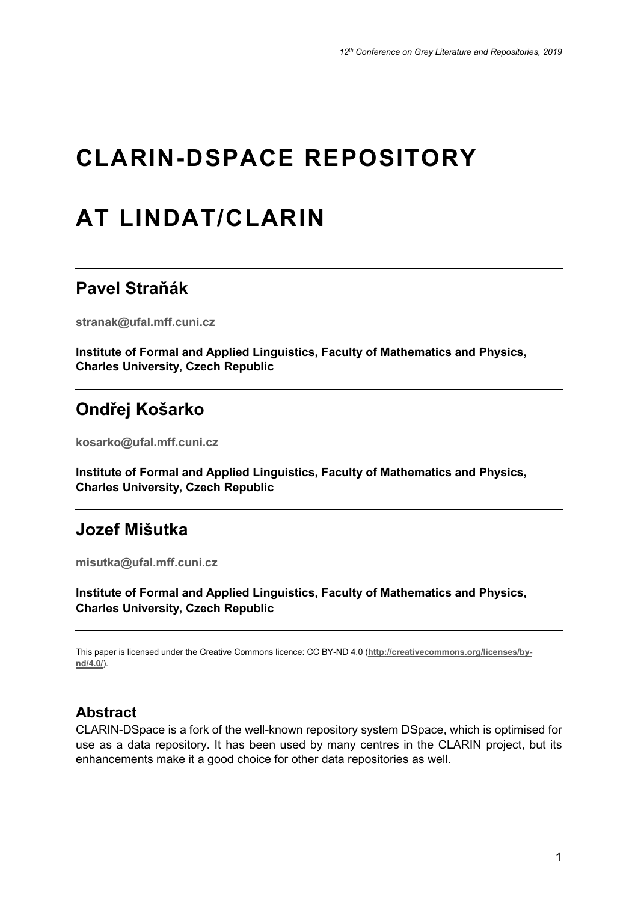# **CLARIN-DSPACE REPOSITORY**

# **AT LINDAT/CLARIN**

## **Pavel Straňák**

**stranak@ufal.mff.cuni.cz**

**Institute of Formal and Applied Linguistics, Faculty of Mathematics and Physics, Charles University, Czech Republic**

# **Ondřej Košarko**

**kosarko@ufal.mff.cuni.cz**

**Institute of Formal and Applied Linguistics, Faculty of Mathematics and Physics, Charles University, Czech Republic**

## **Jozef Mišutka**

**misutka@ufal.mff.cuni.cz**

**Institute of Formal and Applied Linguistics, Faculty of Mathematics and Physics, Charles University, Czech Republic**

This paper is licensed under the Creative Commons licence: CC BY-ND 4.0 (**http://creativecommons.org/licenses/bynd/4.0/**).

## **Abstract**

CLARIN-DSpace is a fork of the well-known repository system DSpace, which is optimised for use as a data repository. It has been used by many centres in the CLARIN project, but its enhancements make it a good choice for other data repositories as well.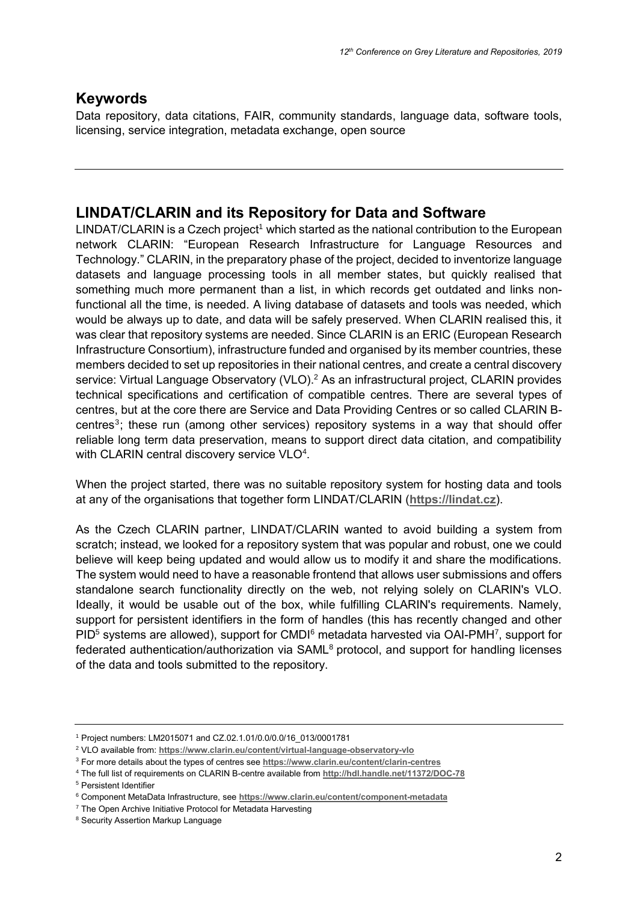## **Keywords**

Data repository, data citations, FAIR, community standards, language data, software tools, licensing, service integration, metadata exchange, open source

## **LINDAT/CLARIN and its Repository for Data and Software**

 $LINDAT/CLARIN$  is a Czech project<sup>1</sup> which started as the national contribution to the European network CLARIN: "European Research Infrastructure for Language Resources and Technology." CLARIN, in the preparatory phase of the project, decided to inventorize language datasets and language processing tools in all member states, but quickly realised that something much more permanent than a list, in which records get outdated and links nonfunctional all the time, is needed. A living database of datasets and tools was needed, which would be always up to date, and data will be safely preserved. When CLARIN realised this, it was clear that repository systems are needed. Since CLARIN is an ERIC (European Research Infrastructure Consortium), infrastructure funded and organised by its member countries, these members decided to set up repositories in their national centres, and create a central discovery service: Virtual Language Observatory (VLO).<sup>2</sup> As an infrastructural project, CLARIN provides technical specifications and certification of compatible centres. There are several types of centres, but at the core there are Service and Data Providing Centres or so called CLARIN Bcentres<sup>3</sup>; these run (among other services) repository systems in a way that should offer reliable long term data preservation, means to support direct data citation, and compatibility with CLARIN central discovery service VLO<sup>4</sup>.

When the project started, there was no suitable repository system for hosting data and tools at any of the organisations that together form LINDAT/CLARIN (**[https://lindat.cz](https://lindat.cz/)**).

As the Czech CLARIN partner, LINDAT/CLARIN wanted to avoid building a system from scratch; instead, we looked for a repository system that was popular and robust, one we could believe will keep being updated and would allow us to modify it and share the modifications. The system would need to have a reasonable frontend that allows user submissions and offers standalone search functionality directly on the web, not relying solely on CLARIN's VLO. Ideally, it would be usable out of the box, while fulfilling CLARIN's requirements. Namely, support for persistent identifiers in the form of handles (this has recently changed and other  $PID<sup>5</sup>$  systems are allowed), support for CMDI $<sup>6</sup>$  metadata harvested via OAI-PMH<sup>7</sup>, support for</sup> federated authentication/authorization via SAML<sup>8</sup> protocol, and support for handling licenses of the data and tools submitted to the repository.

<sup>5</sup> Persistent Identifier

<sup>1</sup> Project numbers: LM2015071 and CZ.02.1.01/0.0/0.0/16\_013/0001781

<sup>2</sup> VLO available from: **<https://www.clarin.eu/content/virtual-language-observatory-vlo>**

<sup>3</sup> For more details about the types of centres see **<https://www.clarin.eu/content/clarin-centres>**

<sup>4</sup> The full list of requirements on CLARIN B-centre available from **<http://hdl.handle.net/11372/DOC-78>**

<sup>6</sup> Component MetaData Infrastructure, see **<https://www.clarin.eu/content/component-metadata>**

 $7$  The Open Archive Initiative Protocol for Metadata Harvesting

<sup>8</sup> Security Assertion Markup Language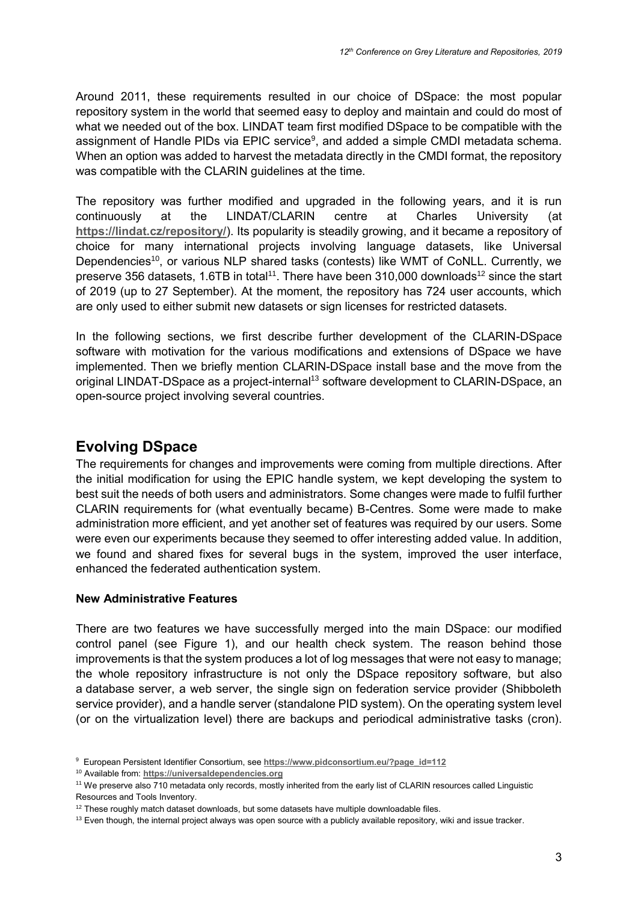Around 2011, these requirements resulted in our choice of DSpace: the most popular repository system in the world that seemed easy to deploy and maintain and could do most of what we needed out of the box. LINDAT team first modified DSpace to be compatible with the assignment of Handle PIDs via EPIC service<sup>9</sup>, and added a simple CMDI metadata schema. When an option was added to harvest the metadata directly in the CMDI format, the repository was compatible with the CLARIN guidelines at the time.

The repository was further modified and upgraded in the following years, and it is run continuously at the LINDAT/CLARIN centre at Charles University (at **<https://lindat.cz/repository/>**). Its popularity is steadily growing, and it became a repository of choice for many international projects involving language datasets, like Universal Dependencies<sup>10</sup>, or various NLP shared tasks (contests) like WMT of CoNLL. Currently, we preserve 356 datasets, 1.6TB in total<sup>11</sup>. There have been 310,000 downloads<sup>12</sup> since the start of 2019 (up to 27 September). At the moment, the repository has 724 user accounts, which are only used to either submit new datasets or sign licenses for restricted datasets.

In the following sections, we first describe further development of the CLARIN-DSpace software with motivation for the various modifications and extensions of DSpace we have implemented. Then we briefly mention CLARIN-DSpace install base and the move from the original LINDAT-DSpace as a project-internal<sup>13</sup> software development to CLARIN-DSpace, an open-source project involving several countries.

## **Evolving DSpace**

The requirements for changes and improvements were coming from multiple directions. After the initial modification for using the EPIC handle system, we kept developing the system to best suit the needs of both users and administrators. Some changes were made to fulfil further CLARIN requirements for (what eventually became) B-Centres. Some were made to make administration more efficient, and yet another set of features was required by our users. Some were even our experiments because they seemed to offer interesting added value. In addition, we found and shared fixes for several bugs in the system, improved the user interface, enhanced the federated authentication system.

### **New Administrative Features**

There are two features we have successfully merged into the main DSpace: our modified control panel (see Figure 1), and our health check system. The reason behind those improvements is that the system produces a lot of log messages that were not easy to manage the whole repository infrastructure is not only the DSpace repository software, but also a database server, a web server, the single sign on federation service provider (Shibboleth service provider), and a handle server (standalone PID system). On the operating system level (or on the virtualization level) there are backups and periodical administrative tasks (cron).

<sup>9</sup> European Persistent Identifier Consortium, see **[https://www.pidconsortium.eu/?page\\_id=112](https://www.pidconsortium.eu/?page_id=112)**

<sup>10</sup> Available from: **https://universaldependencies.org**

<sup>&</sup>lt;sup>11</sup> We preserve also 710 metadata only records, mostly inherited from the early list of CLARIN resources called Linguistic Resources and Tools Inventory.

 $12$  These roughly match dataset downloads, but some datasets have multiple downloadable files.

 $13$  Even though, the internal project always was open source with a publicly available repository, wiki and issue tracker.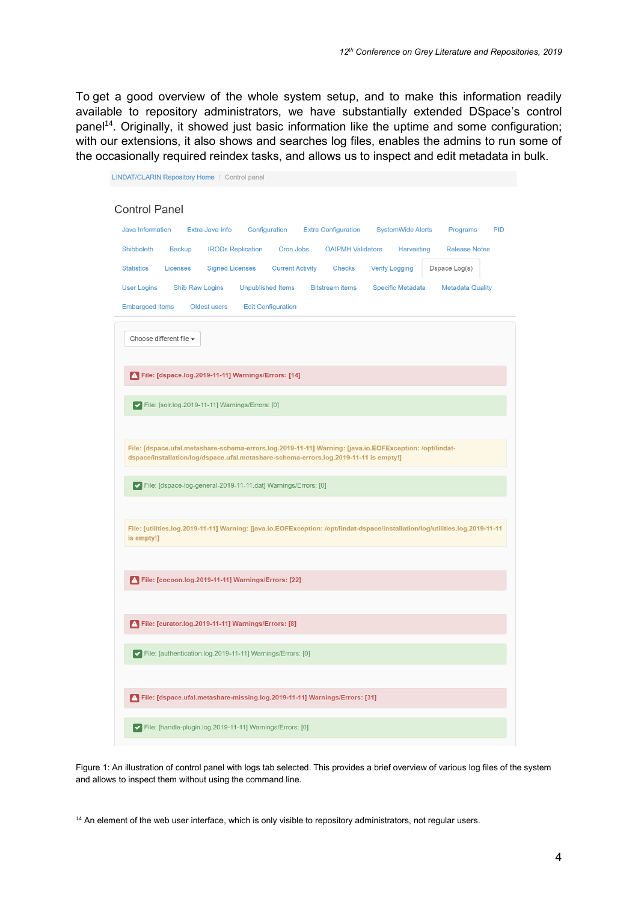To get a good overview of the whole system setup, and to make this information readily available to repository administrators, we have substantially extended DSpace's control panel<sup>14</sup>. Originally, it showed just basic information like the uptime and some configuration; with our extensions, it also shows and searches log files, enables the admins to run some of the occasionally required reindex tasks, and allows us to inspect and edit metadata in bulk.

| LINDAT/CLARIN Repository Home / Control panel                                                                                                                                                    |
|--------------------------------------------------------------------------------------------------------------------------------------------------------------------------------------------------|
| <b>Control Panel</b>                                                                                                                                                                             |
| <b>Java Information</b><br>Extra Java Info<br>Configuration<br><b>Extra Configuration</b><br><b>SystemWide Alerts</b><br>Programs<br><b>PID</b>                                                  |
| Shibboleth<br><b>Backup</b><br><b>IRODs Replication</b><br>Cron Jobs<br><b>OAIPMH Validators</b><br>Harvesting<br><b>Release Notes</b>                                                           |
| <b>Statistics</b><br><b>Signed Licenses</b><br><b>Current Activity</b><br><b>Verify Logging</b><br>Licenses<br><b>Checks</b><br>Dspace Log(s)                                                    |
| <b>Shib Raw Logins</b><br><b>Unpublished Items</b><br><b>User Logins</b><br><b>Bitstream</b> items<br><b>Specific Metadata</b><br><b>Metadata Quality</b>                                        |
| <b>Embargoed items</b><br><b>Edit Configuration</b><br>Oldest users                                                                                                                              |
| Choose different file v                                                                                                                                                                          |
| A File: [dspace.log.2019-11-11] Warnings/Errors: [14]                                                                                                                                            |
| V File: [solr.log.2019-11-11] Warnings/Errors: [0]                                                                                                                                               |
|                                                                                                                                                                                                  |
| File: [dspace.ufal.metashare-schema-errors.log.2019-11-11] Warning: [java.io.EOFException: /opt/lindat-<br>dspace/installation/log/dspace.ufal.metashare-schema-errors.log.2019-11-11 is empty!] |
| √ File: [dspace-log-general-2019-11-11.dat] Warnings/Errors: [0]                                                                                                                                 |
|                                                                                                                                                                                                  |
| File: [utilities.log.2019-11-11] Warning: [java.io.EOFException: /opt/lindat-dspace/installation/log/utilities.log.2019-11-11<br>is empty!]                                                      |
|                                                                                                                                                                                                  |
| A File: [cocoon.log.2019-11-11] Warnings/Errors: [22]                                                                                                                                            |
|                                                                                                                                                                                                  |
| A File: [curator.log.2019-11-11] Warnings/Errors: [8]                                                                                                                                            |
| V File: [authentication.log.2019-11-11] Warnings/Errors: [0]                                                                                                                                     |
| A File: [dspace.ufal.metashare-missing.log.2019-11-11] Warnings/Errors: [31]                                                                                                                     |
| ▼ File: [handle-plugin.log.2019-11-11] Warnings/Errors: [0]                                                                                                                                      |

Figure 1: An illustration of control panel with logs tab selected. This provides a brief overview of various log files of the system and allows to inspect them without using the command line.

<sup>14</sup> An element of the web user interface, which is only visible to repository administrators, not regular users.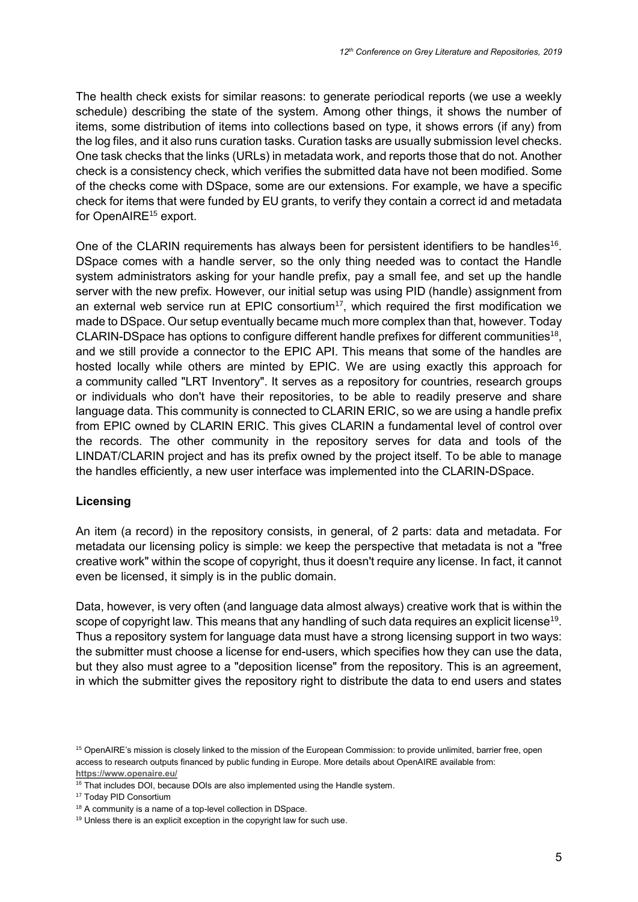The health check exists for similar reasons: to generate periodical reports (we use a weekly schedule) describing the state of the system. Among other things, it shows the number of items, some distribution of items into collections based on type, it shows errors (if any) from the log files, and it also runs curation tasks. Curation tasks are usually submission level checks. One task checks that the links (URLs) in metadata work, and reports those that do not. Another check is a consistency check, which verifies the submitted data have not been modified. Some of the checks come with DSpace, some are our extensions. For example, we have a specific check for items that were funded by EU grants, to verify they contain a correct id and metadata for OpenAIRE<sup>15</sup> export.

One of the CLARIN requirements has always been for persistent identifiers to be handles<sup>16</sup>. DSpace comes with a handle server, so the only thing needed was to contact the Handle system administrators asking for your handle prefix, pay a small fee, and set up the handle server with the new prefix. However, our initial setup was using PID (handle) assignment from an external web service run at EPIC consortium<sup>17</sup>, which required the first modification we made to DSpace. Our setup eventually became much more complex than that, however. Today CLARIN-DSpace has options to configure different handle prefixes for different communities<sup>18</sup>, and we still provide a connector to the EPIC API. This means that some of the handles are hosted locally while others are minted by EPIC. We are using exactly this approach for a community called "LRT Inventory". It serves as a repository for countries, research groups or individuals who don't have their repositories, to be able to readily preserve and share language data. This community is connected to CLARIN ERIC, so we are using a handle prefix from EPIC owned by CLARIN ERIC. This gives CLARIN a fundamental level of control over the records. The other community in the repository serves for data and tools of the LINDAT/CLARIN project and has its prefix owned by the project itself. To be able to manage the handles efficiently, a new user interface was implemented into the CLARIN-DSpace.

### **Licensing**

An item (a record) in the repository consists, in general, of 2 parts: data and metadata. For metadata our licensing policy is simple: we keep the perspective that metadata is not a "free creative work" within the scope of copyright, thus it doesn't require any license. In fact, it cannot even be licensed, it simply is in the public domain.

Data, however, is very often (and language data almost always) creative work that is within the scope of copyright law. This means that any handling of such data requires an explicit license<sup>19</sup>. Thus a repository system for language data must have a strong licensing support in two ways: the submitter must choose a license for end-users, which specifies how they can use the data, but they also must agree to a "deposition license" from the repository. This is an agreement, in which the submitter gives the repository right to distribute the data to end users and states

<sup>&</sup>lt;sup>15</sup> OpenAIRE's mission is closely linked to the mission of the European Commission: to provide unlimited, barrier free, open access to research outputs financed by public funding in Europe. More details about OpenAIRE available from: **<https://www.openaire.eu/>**

<sup>&</sup>lt;sup>16</sup> That includes DOI, because DOIs are also implemented using the Handle system.

<sup>&</sup>lt;sup>17</sup> Today PID Consortium

<sup>&</sup>lt;sup>18</sup> A community is a name of a top-level collection in DSpace.

<sup>&</sup>lt;sup>19</sup> Unless there is an explicit exception in the copyright law for such use.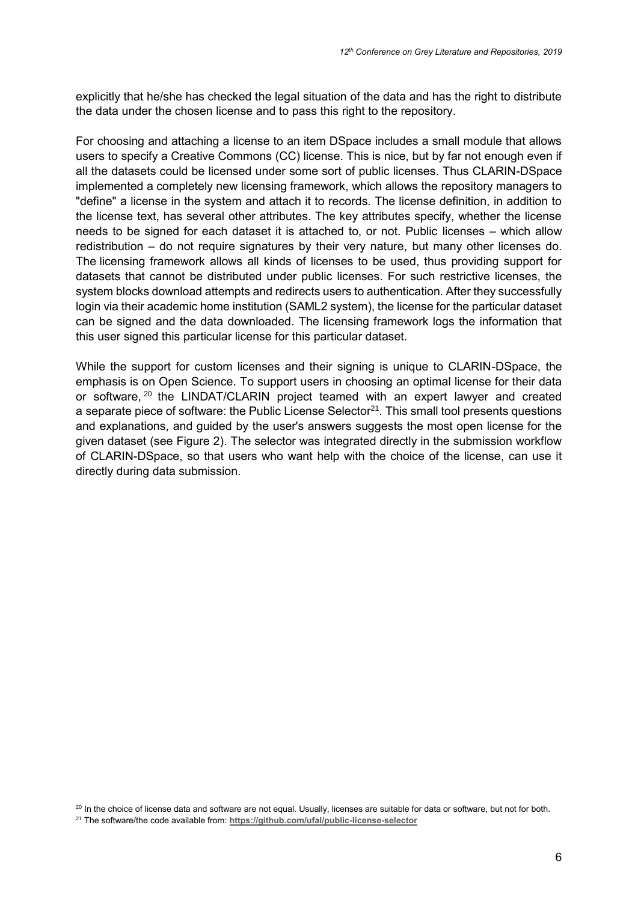explicitly that he/she has checked the legal situation of the data and has the right to distribute the data under the chosen license and to pass this right to the repository.

For choosing and attaching a license to an item DSpace includes a small module that allows users to specify a Creative Commons (CC) license. This is nice, but by far not enough even if all the datasets could be licensed under some sort of public licenses. Thus CLARIN-DSpace implemented a completely new licensing framework, which allows the repository managers to "define" a license in the system and attach it to records. The license definition, in addition to the license text, has several other attributes. The key attributes specify, whether the license needs to be signed for each dataset it is attached to, or not. Public licenses – which allow redistribution – do not require signatures by their very nature, but many other licenses do. The licensing framework allows all kinds of licenses to be used, thus providing support for datasets that cannot be distributed under public licenses. For such restrictive licenses, the system blocks download attempts and redirects users to authentication. After they successfully login via their academic home institution (SAML2 system), the license for the particular dataset can be signed and the data downloaded. The licensing framework logs the information that this user signed this particular license for this particular dataset.

While the support for custom licenses and their signing is unique to CLARIN-DSpace, the emphasis is on Open Science. To support users in choosing an optimal license for their data or software, <sup>20</sup> the LINDAT/CLARIN project teamed with an expert lawyer and created a separate piece of software: the Public License Selector<sup>21</sup>. This small tool presents questions and explanations, and guided by the user's answers suggests the most open license for the given dataset (see Figure 2). The selector was integrated directly in the submission workflow of CLARIN-DSpace, so that users who want help with the choice of the license, can use it directly during data submission.

<sup>&</sup>lt;sup>20</sup> In the choice of license data and software are not equal. Usually, licenses are suitable for data or software, but not for both.

<sup>21</sup> The software/the code available from: **<https://github.com/ufal/public-license-selector>**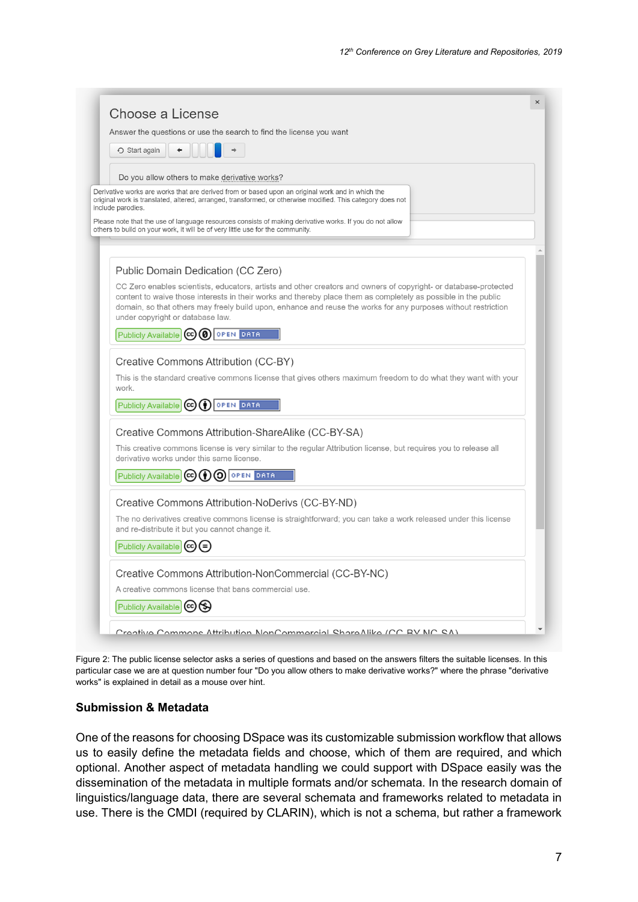|       | Answer the questions or use the search to find the license you want                                                                                                                                                                                                                                                                                                                                                              |
|-------|----------------------------------------------------------------------------------------------------------------------------------------------------------------------------------------------------------------------------------------------------------------------------------------------------------------------------------------------------------------------------------------------------------------------------------|
|       | ○ Start again                                                                                                                                                                                                                                                                                                                                                                                                                    |
|       | Do you allow others to make derivative works?                                                                                                                                                                                                                                                                                                                                                                                    |
|       | Derivative works are works that are derived from or based upon an original work and in which the<br>original work is translated, altered, arranged, transformed, or otherwise modified. This category does not<br>include parodies.<br>Please note that the use of language resources consists of making derivative works. If you do not allow<br>others to build on your work, it will be of very little use for the community. |
|       | Public Domain Dedication (CC Zero)                                                                                                                                                                                                                                                                                                                                                                                               |
|       | CC Zero enables scientists, educators, artists and other creators and owners of copyright- or database-protected<br>content to waive those interests in their works and thereby place them as completely as possible in the public<br>domain, so that others may freely build upon, enhance and reuse the works for any purposes without restriction<br>under copyright or database law.                                         |
|       | <b>OPEN DATA</b><br>Publicly Available (cc) (0)                                                                                                                                                                                                                                                                                                                                                                                  |
|       | Creative Commons Attribution (CC-BY)                                                                                                                                                                                                                                                                                                                                                                                             |
| work. | This is the standard creative commons license that gives others maximum freedom to do what they want with your                                                                                                                                                                                                                                                                                                                   |
|       | Publicly Available $\left  \mathbf{cc} \right  \left( \cdot \right)$ open Data                                                                                                                                                                                                                                                                                                                                                   |
|       | Creative Commons Attribution-ShareAlike (CC-BY-SA)                                                                                                                                                                                                                                                                                                                                                                               |
|       | This creative commons license is very similar to the regular Attribution license, but requires you to release all<br>derivative works under this same license.                                                                                                                                                                                                                                                                   |
|       | Publicly Available (cc) (1) (3) OPEN DATA                                                                                                                                                                                                                                                                                                                                                                                        |
|       | Creative Commons Attribution-NoDerivs (CC-BY-ND)                                                                                                                                                                                                                                                                                                                                                                                 |
|       | The no derivatives creative commons license is straightforward; you can take a work released under this license<br>and re-distribute it but you cannot change it.                                                                                                                                                                                                                                                                |
|       | Publicly Available (cc)                                                                                                                                                                                                                                                                                                                                                                                                          |
|       | Creative Commons Attribution-NonCommercial (CC-BY-NC)                                                                                                                                                                                                                                                                                                                                                                            |
|       | A creative commons license that bans commercial use.                                                                                                                                                                                                                                                                                                                                                                             |
|       | Publicly Available (cc) (\$)                                                                                                                                                                                                                                                                                                                                                                                                     |

Figure 2: The public license selector asks a series of questions and based on the answers filters the suitable licenses. In this particular case we are at question number four "Do you allow others to make derivative works?" where the phrase "derivative works" is explained in detail as a mouse over hint.

#### **Submission & Metadata**

One of the reasons for choosing DSpace was its customizable submission workflow that allows us to easily define the metadata fields and choose, which of them are required, and which optional. Another aspect of metadata handling we could support with DSpace easily was the dissemination of the metadata in multiple formats and/or schemata. In the research domain of linguistics/language data, there are several schemata and frameworks related to metadata in use. There is the CMDI (required by CLARIN), which is not a schema, but rather a framework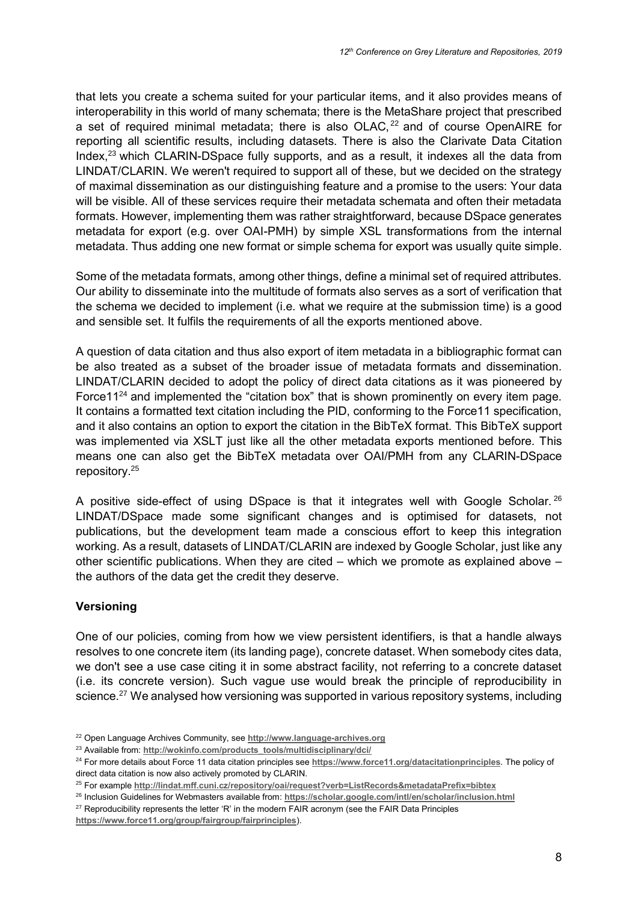that lets you create a schema suited for your particular items, and it also provides means of interoperability in this world of many schemata; there is the MetaShare project that prescribed a set of required minimal metadata; there is also OLAC, $^{22}$  and of course OpenAIRE for reporting all scientific results, including datasets. There is also the Clarivate Data Citation Index, $^{23}$  which CLARIN-DSpace fully supports, and as a result, it indexes all the data from LINDAT/CLARIN. We weren't required to support all of these, but we decided on the strategy of maximal dissemination as our distinguishing feature and a promise to the users: Your data will be visible. All of these services require their metadata schemata and often their metadata formats. However, implementing them was rather straightforward, because DSpace generates metadata for export (e.g. over OAI-PMH) by simple XSL transformations from the internal metadata. Thus adding one new format or simple schema for export was usually quite simple.

Some of the metadata formats, among other things, define a minimal set of required attributes. Our ability to disseminate into the multitude of formats also serves as a sort of verification that the schema we decided to implement (i.e. what we require at the submission time) is a good and sensible set. It fulfils the requirements of all the exports mentioned above.

A question of data citation and thus also export of item metadata in a bibliographic format can be also treated as a subset of the broader issue of metadata formats and dissemination. LINDAT/CLARIN decided to adopt the policy of direct data citations as it was pioneered by Force11<sup>24</sup> and implemented the "citation box" that is shown prominently on every item page. It contains a formatted text citation including the PID, conforming to the Force11 specification, and it also contains an option to export the citation in the BibTeX format. This BibTeX support was implemented via XSLT just like all the other metadata exports mentioned before. This means one can also get the BibTeX metadata over OAI/PMH from any CLARIN-DSpace repository.<sup>25</sup>

A positive side-effect of using DSpace is that it integrates well with Google Scholar. <sup>26</sup> LINDAT/DSpace made some significant changes and is optimised for datasets, not publications, but the development team made a conscious effort to keep this integration working. As a result, datasets of LINDAT/CLARIN are indexed by Google Scholar, just like any other scientific publications. When they are cited – which we promote as explained above – the authors of the data get the credit they deserve.

### **Versioning**

One of our policies, coming from how we view persistent identifiers, is that a handle always resolves to one concrete item (its landing page), concrete dataset. When somebody cites data, we don't see a use case citing it in some abstract facility, not referring to a concrete dataset (i.e. its concrete version). Such vague use would break the principle of reproducibility in science.<sup>27</sup> We analysed how versioning was supported in various repository systems, including

<sup>22</sup> Open Language Archives Community, see **http://www.language-archives.org**

<sup>&</sup>lt;sup>23</sup> Available from: [http://wokinfo.com/products\\_tools/multidisciplinary/dci/](http://wokinfo.com/products_tools/multidisciplinary/dci/)

<sup>24</sup> For more details about Force 11 data citation principles see **<https://www.force11.org/datacitationprinciples>**. The policy of direct data citation is now also actively promoted by CLARIN.

<sup>25</sup> For example **<http://lindat.mff.cuni.cz/repository/oai/request?verb=ListRecords&metadataPrefix=bibtex>**

<sup>26</sup> Inclusion Guidelines for Webmasters available from: **<https://scholar.google.com/intl/en/scholar/inclusion.html>**

 $27$  Reproducibility represents the letter 'R' in the modern FAIR acronym (see the FAIR Data Principles

**<https://www.force11.org/group/fairgroup/fairprinciples>**).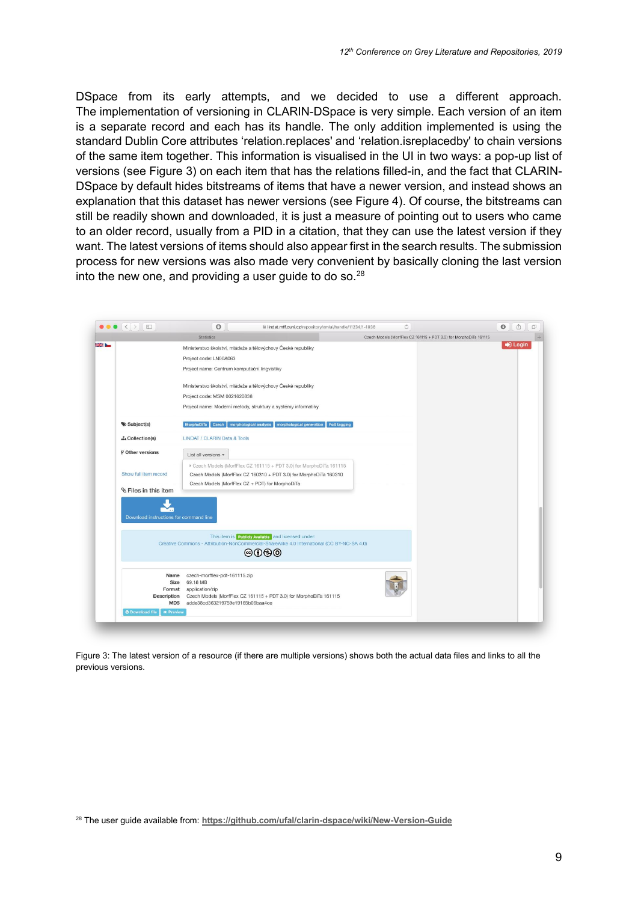DSpace from its early attempts, and we decided to use a different approach. The implementation of versioning in CLARIN-DSpace is very simple. Each version of an item is a separate record and each has its handle. The only addition implemented is using the standard Dublin Core attributes 'relation.replaces' and 'relation.isreplacedby' to chain versions of the same item together. This information is visualised in the UI in two ways: a pop-up list of versions (see Figure 3) on each item that has the relations filled-in, and the fact that CLARIN-DSpace by default hides bitstreams of items that have a newer version, and instead shows an explanation that this dataset has newer versions (see Figure 4). Of course, the bitstreams can still be readily shown and downloaded, it is just a measure of pointing out to users who came to an older record, usually from a PID in a citation, that they can use the latest version if they want. The latest versions of items should also appear first in the search results. The submission process for new versions was also made very convenient by basically cloning the last version into the new one, and providing a user guide to do so.<sup>28</sup>

|                                                         | <b>Statistics</b><br>Czech Models (MorfFlex CZ 161115 + PDT 3.0) for MorphoDiTa 161115                                                                    |         |
|---------------------------------------------------------|-----------------------------------------------------------------------------------------------------------------------------------------------------------|---------|
|                                                         | Ministerstvo školství, mládeže a tělovýchovy České republiky                                                                                              | D Login |
|                                                         | Project code: LN00A063                                                                                                                                    |         |
|                                                         | Project name: Centrum komputační lingvistiky                                                                                                              |         |
|                                                         | Ministerstvo školství, mládeže a tělovýchovy České republiky                                                                                              |         |
|                                                         | Project code: MSM 0021620838                                                                                                                              |         |
|                                                         | Project name: Moderní metody, struktury a systémy informatiky                                                                                             |         |
| Subject(s)                                              | <b>Czech</b><br>morphological analysis   morphological generation<br>PoS tagging<br>MorphoDiTa                                                            |         |
| <b>d</b> Collection(s)                                  | LINDAT / CLARIN Data & Tools                                                                                                                              |         |
| P Other versions                                        | List all versions -                                                                                                                                       |         |
|                                                         | Czech Models (MorfFlex CZ 161115 + PDT 3.0) for MorphoDiTa 161115                                                                                         |         |
| Show full item record                                   | Czech Models (MorfFlex CZ 160310 + PDT 3.0) for MorphoDiTa 160310                                                                                         |         |
| <b><i>S</i></b> Files in this item                      | Czech Models (MorfFlex CZ + PDT) for MorphoDiTa                                                                                                           |         |
|                                                         |                                                                                                                                                           |         |
|                                                         |                                                                                                                                                           |         |
|                                                         |                                                                                                                                                           |         |
| Download instructions for command line                  |                                                                                                                                                           |         |
|                                                         |                                                                                                                                                           |         |
|                                                         | This item is <b>Publicly Available</b> and licensed under:<br>Creative Commons - Attribution-NonCommercial-ShareAlike 4.0 International (CC BY-NC-SA 4.0) |         |
|                                                         | @0@@                                                                                                                                                      |         |
| Name                                                    | czech-morfflex-pdt-161115.zip                                                                                                                             |         |
| Size                                                    | 69.18 MB                                                                                                                                                  |         |
| Format<br><b>Description</b>                            | application/zip<br>Czech Models (MorfFlex CZ 161115 + PDT 3.0) for MorphoDiTa 161115                                                                      |         |
| MD <sub>5</sub><br>O Download file <sup>@</sup> Preview | adde38cd363219759e19165b06baa4ce                                                                                                                          |         |

Figure 3: The latest version of a resource (if there are multiple versions) shows both the actual data files and links to all the previous versions.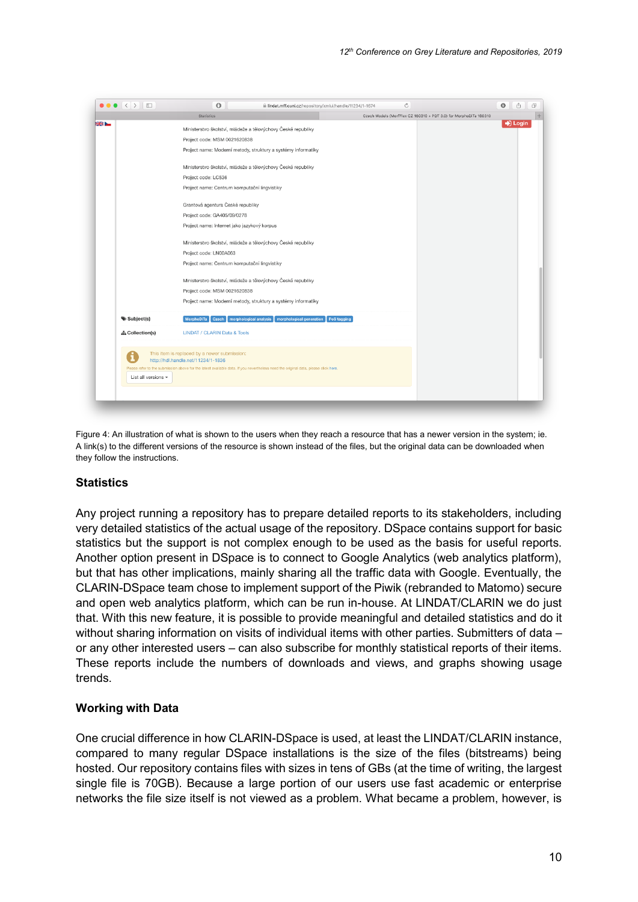

Figure 4: An illustration of what is shown to the users when they reach a resource that has a newer version in the system; ie. A link(s) to the different versions of the resource is shown instead of the files, but the original data can be downloaded when they follow the instructions.

#### **Statistics**

Any project running a repository has to prepare detailed reports to its stakeholders, including very detailed statistics of the actual usage of the repository. DSpace contains support for basic statistics but the support is not complex enough to be used as the basis for useful reports. Another option present in DSpace is to connect to Google Analytics (web analytics platform), but that has other implications, mainly sharing all the traffic data with Google. Eventually, the CLARIN-DSpace team chose to implement support of the Piwik (rebranded to Matomo) secure and open web analytics platform, which can be run in-house. At LINDAT/CLARIN we do just that. With this new feature, it is possible to provide meaningful and detailed statistics and do it without sharing information on visits of individual items with other parties. Submitters of data – or any other interested users – can also subscribe for monthly statistical reports of their items. These reports include the numbers of downloads and views, and graphs showing usage trends.

### **Working with Data**

One crucial difference in how CLARIN-DSpace is used, at least the LINDAT/CLARIN instance, compared to many regular DSpace installations is the size of the files (bitstreams) being hosted. Our repository contains files with sizes in tens of GBs (at the time of writing, the largest single file is 70GB). Because a large portion of our users use fast academic or enterprise networks the file size itself is not viewed as a problem. What became a problem, however, is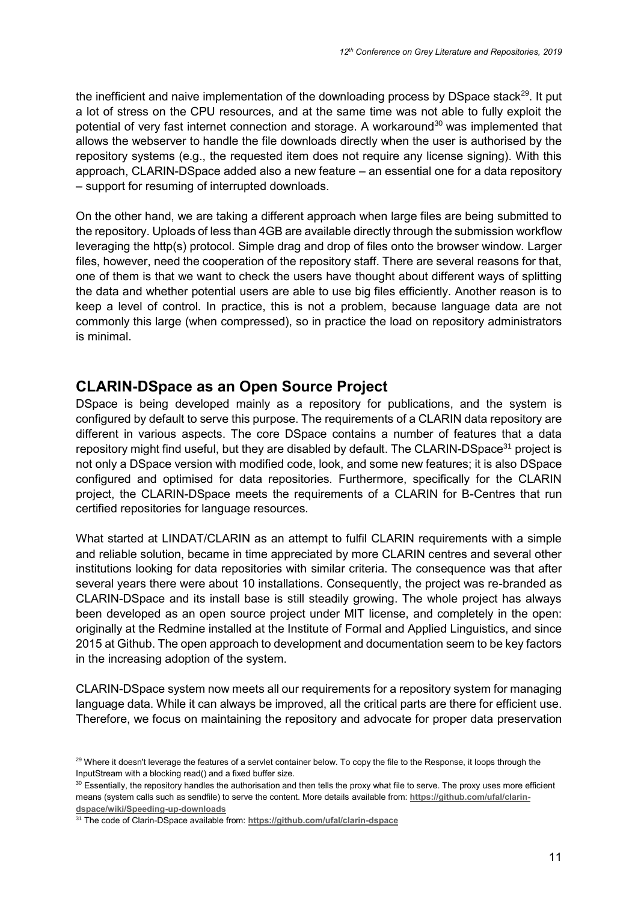the inefficient and naive implementation of the downloading process by DSpace stack $^{29}$ . It put a lot of stress on the CPU resources, and at the same time was not able to fully exploit the potential of very fast internet connection and storage. A workaround<sup>30</sup> was implemented that allows the webserver to handle the file downloads directly when the user is authorised by the repository systems (e.g., the requested item does not require any license signing). With this approach, CLARIN-DSpace added also a new feature – an essential one for a data repository – support for resuming of interrupted downloads.

On the other hand, we are taking a different approach when large files are being submitted to the repository. Uploads of less than 4GB are available directly through the submission workflow leveraging the http(s) protocol. Simple drag and drop of files onto the browser window. Larger files, however, need the cooperation of the repository staff. There are several reasons for that, one of them is that we want to check the users have thought about different ways of splitting the data and whether potential users are able to use big files efficiently. Another reason is to keep a level of control. In practice, this is not a problem, because language data are not commonly this large (when compressed), so in practice the load on repository administrators is minimal.

## **CLARIN-DSpace as an Open Source Project**

DSpace is being developed mainly as a repository for publications, and the system is configured by default to serve this purpose. The requirements of a CLARIN data repository are different in various aspects. The core DSpace contains a number of features that a data repository might find useful, but they are disabled by default. The CLARIN-DSpace<sup>31</sup> project is not only a DSpace version with modified code, look, and some new features; it is also DSpace configured and optimised for data repositories. Furthermore, specifically for the CLARIN project, the CLARIN-DSpace meets the requirements of a CLARIN for B-Centres that run certified repositories for language resources.

What started at LINDAT/CLARIN as an attempt to fulfil CLARIN requirements with a simple and reliable solution, became in time appreciated by more CLARIN centres and several other institutions looking for data repositories with similar criteria. The consequence was that after several years there were about 10 installations. Consequently, the project was re-branded as CLARIN-DSpace and its install base is still steadily growing. The whole project has always been developed as an open source project under MIT license, and completely in the open: originally at the Redmine installed at the Institute of Formal and Applied Linguistics, and since 2015 at Github. The open approach to development and documentation seem to be key factors in the increasing adoption of the system.

CLARIN-DSpace system now meets all our requirements for a repository system for managing language data. While it can always be improved, all the critical parts are there for efficient use. Therefore, we focus on maintaining the repository and advocate for proper data preservation

<sup>&</sup>lt;sup>29</sup> Where it doesn't leverage the features of a servlet container below. To copy the file to the Response, it loops through the InputStream with a blocking read() and a fixed buffer size.

<sup>30</sup> Essentially, the repository handles the authorisation and then tells the proxy what file to serve. The proxy uses more efficient means (system calls such as sendfile) to serve the content. More details available from: **[https://github.com/ufal/clarin](https://github.com/ufal/clarin-dspace/wiki/Speeding-up-downloads)[dspace/wiki/Speeding-up-downloads](https://github.com/ufal/clarin-dspace/wiki/Speeding-up-downloads)**

<sup>31</sup> The code of Clarin-DSpace available from: **https://github.com/ufal/clarin-dspace**